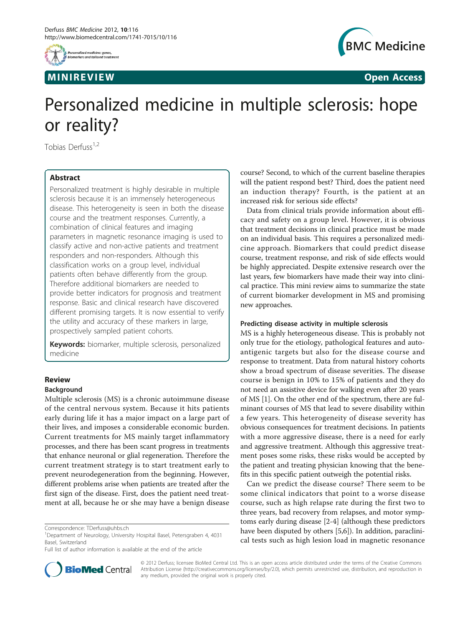

# MINIREVIEW **Open Access**



# Personalized medicine in multiple sclerosis: hope or reality?

Tobias Derfuss<sup>1,2</sup>

## Abstract

Personalized treatment is highly desirable in multiple sclerosis because it is an immensely heterogeneous disease. This heterogeneity is seen in both the disease course and the treatment responses. Currently, a combination of clinical features and imaging parameters in magnetic resonance imaging is used to classify active and non-active patients and treatment responders and non-responders. Although this classification works on a group level, individual patients often behave differently from the group. Therefore additional biomarkers are needed to provide better indicators for prognosis and treatment response. Basic and clinical research have discovered different promising targets. It is now essential to verify the utility and accuracy of these markers in large, prospectively sampled patient cohorts.

Keywords: biomarker, multiple sclerosis, personalized medicine

# Review

## Background

Multiple sclerosis (MS) is a chronic autoimmune disease of the central nervous system. Because it hits patients early during life it has a major impact on a large part of their lives, and imposes a considerable economic burden. Current treatments for MS mainly target inflammatory processes, and there has been scant progress in treatments that enhance neuronal or glial regeneration. Therefore the current treatment strategy is to start treatment early to prevent neurodegeneration from the beginning. However, different problems arise when patients are treated after the first sign of the disease. First, does the patient need treatment at all, because he or she may have a benign disease

Full list of author information is available at the end of the article



course? Second, to which of the current baseline therapies will the patient respond best? Third, does the patient need an induction therapy? Fourth, is the patient at an increased risk for serious side effects?

Data from clinical trials provide information about efficacy and safety on a group level. However, it is obvious that treatment decisions in clinical practice must be made on an individual basis. This requires a personalized medicine approach. Biomarkers that could predict disease course, treatment response, and risk of side effects would be highly appreciated. Despite extensive research over the last years, few biomarkers have made their way into clinical practice. This mini review aims to summarize the state of current biomarker development in MS and promising new approaches.

### Predicting disease activity in multiple sclerosis

MS is a highly heterogeneous disease. This is probably not only true for the etiology, pathological features and autoantigenic targets but also for the disease course and response to treatment. Data from natural history cohorts show a broad spectrum of disease severities. The disease course is benign in 10% to 15% of patients and they do not need an assistive device for walking even after 20 years of MS [[1\]](#page-3-0). On the other end of the spectrum, there are fulminant courses of MS that lead to severe disability within a few years. This heterogeneity of disease severity has obvious consequences for treatment decisions. In patients with a more aggressive disease, there is a need for early and aggressive treatment. Although this aggressive treatment poses some risks, these risks would be accepted by the patient and treating physician knowing that the benefits in this specific patient outweigh the potential risks.

Can we predict the disease course? There seem to be some clinical indicators that point to a worse disease course, such as high relapse rate during the first two to three years, bad recovery from relapses, and motor symptoms early during disease [\[2](#page-3-0)-[4\]](#page-3-0) (although these predictors have been disputed by others [\[5,6\]](#page-3-0)). In addition, paraclinical tests such as high lesion load in magnetic resonance

© 2012 Derfuss; licensee BioMed Central Ltd. This is an open access article distributed under the terms of the Creative Commons Attribution License [\(http://creativecommons.org/licenses/by/2.0](http://creativecommons.org/licenses/by/2.0)), which permits unrestricted use, distribution, and reproduction in any medium, provided the original work is properly cited.

Correspondence: [TDerfuss@uhbs.ch](mailto:TDerfuss@uhbs.ch)

<sup>&</sup>lt;sup>1</sup>Department of Neurology, University Hospital Basel, Petersgraben 4, 4031 Basel, Switzerland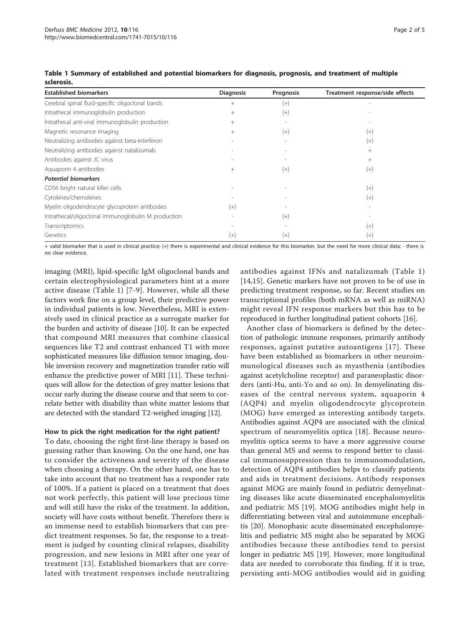| <b>Established biomarkers</b>                       | <b>Diagnosis</b>         | Prognosis                | Treatment response/side effects |
|-----------------------------------------------------|--------------------------|--------------------------|---------------------------------|
| Cerebral spinal fluid-specific oligoclonal bands    | $^{+}$                   | $(+)$                    |                                 |
| Intrathecal immunoglobulin production               | $^{+}$                   | $(+)$                    |                                 |
| Intrathecal anti-viral immunoglobulin production    | $^{+}$                   |                          |                                 |
| Magnetic resonance imaging                          | $^{+}$                   | $(+)$                    | $^{(+)}$                        |
| Neutralizing antibodies against beta-interferon     | $\overline{\phantom{a}}$ | $\overline{\phantom{a}}$ | $(+)$                           |
| Neutralizing antibodies against natalizumab         |                          |                          | $^{+}$                          |
| Antibodies against JC virus                         |                          |                          | $^{+}$                          |
| Aquaporin 4 antibodies                              | $^{+}$                   | $(+)$                    | $(+)$                           |
| <b>Potential biomarkers</b>                         |                          |                          |                                 |
| CD56 bright natural killer cells                    |                          |                          | $(+)$                           |
| Cytokines/chemokines                                |                          |                          | $(+)$                           |
| Myelin oligodendrocyte glycoprotein antibodies      | $(+)$                    |                          |                                 |
| Intrathecal/oligoclonal immunoglobulin M production |                          | $(+)$                    |                                 |
| Transcriptomics                                     |                          |                          | $(+)$                           |
| Genetics                                            | $(+)$                    | $(+)$                    | $^{(+)}$                        |

Table 1 Summary of established and potential biomarkers for diagnosis, prognosis, and treatment of multiple sclerosis.

+ valid biomarker that is used in clinical practice; (+) there is experimental and clinical evidence for this biomarker, but the need for more clinical data; - there is no clear evidence.

imaging (MRI), lipid-specific IgM oligoclonal bands and certain electrophysiological parameters hint at a more active disease (Table 1) [[7](#page-3-0)-[9](#page-3-0)]. However, while all these factors work fine on a group level, their predictive power in individual patients is low. Nevertheless, MRI is extensively used in clinical practice as a surrogate marker for the burden and activity of disease [[10](#page-3-0)]. It can be expected that compound MRI measures that combine classical sequences like T2 and contrast enhanced T1 with more sophisticated measures like diffusion tensor imaging, double inversion recovery and magnetization transfer ratio will enhance the predictive power of MRI [\[11\]](#page-3-0). These techniques will allow for the detection of grey matter lesions that occur early during the disease course and that seem to correlate better with disability than white matter lesions that are detected with the standard T2-weighed imaging [[12](#page-3-0)].

#### How to pick the right medication for the right patient?

To date, choosing the right first-line therapy is based on guessing rather than knowing. On the one hand, one has to consider the activeness and severity of the disease when choosing a therapy. On the other hand, one has to take into account that no treatment has a responder rate of 100%. If a patient is placed on a treatment that does not work perfectly, this patient will lose precious time and will still have the risks of the treatment. In addition, society will have costs without benefit. Therefore there is an immense need to establish biomarkers that can predict treatment responses. So far, the response to a treatment is judged by counting clinical relapses, disability progression, and new lesions in MRI after one year of treatment [[13\]](#page-3-0). Established biomarkers that are correlated with treatment responses include neutralizing

antibodies against IFNs and natalizumab (Table 1) [[14,15\]](#page-3-0). Genetic markers have not proven to be of use in predicting treatment response, so far. Recent studies on transcriptional profiles (both mRNA as well as miRNA) might reveal IFN response markers but this has to be reproduced in further longitudinal patient cohorts [\[16\]](#page-3-0).

Another class of biomarkers is defined by the detection of pathologic immune responses, primarily antibody responses, against putative autoantigens [[17\]](#page-3-0). These have been established as biomarkers in other neuroimmunological diseases such as myasthenia (antibodies against acetylcholine receptor) and paraneoplastic disorders (anti-Hu, anti-Yo and so on). In demyelinating diseases of the central nervous system, aquaporin 4 (AQP4) and myelin oligodendrocyte glycoprotein (MOG) have emerged as interesting antibody targets. Antibodies against AQP4 are associated with the clinical spectrum of neuromyelitis optica [[18\]](#page-3-0). Because neuromyelitis optica seems to have a more aggressive course than general MS and seems to respond better to classical immunosuppression than to immunomodulation, detection of AQP4 antibodies helps to classify patients and aids in treatment decisions. Antibody responses against MOG are mainly found in pediatric demyelinating diseases like acute disseminated encephalomyelitis and pediatric MS [[19](#page-3-0)]. MOG antibodies might help in differentiating between viral and autoimmune encephalitis [[20\]](#page-3-0). Monophasic acute disseminated encephalomyelitis and pediatric MS might also be separated by MOG antibodies because these antibodies tend to persist longer in pediatric MS [[19](#page-3-0)]. However, more longitudinal data are needed to corroborate this finding. If it is true, persisting anti-MOG antibodies would aid in guiding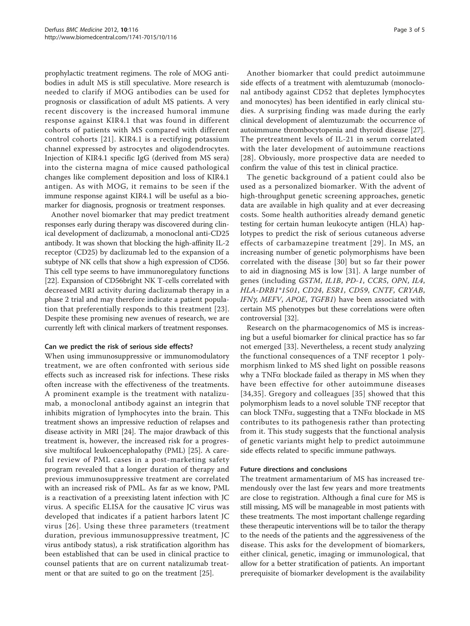prophylactic treatment regimens. The role of MOG antibodies in adult MS is still speculative. More research is needed to clarify if MOG antibodies can be used for prognosis or classification of adult MS patients. A very recent discovery is the increased humoral immune response against KIR4.1 that was found in different cohorts of patients with MS compared with different control cohorts [[21](#page-3-0)]. KIR4.1 is a rectifying potassium channel expressed by astrocytes and oligodendrocytes. Injection of KIR4.1 specific IgG (derived from MS sera) into the cisterna magna of mice caused pathological changes like complement deposition and loss of KIR4.1 antigen. As with MOG, it remains to be seen if the immune response against KIR4.1 will be useful as a biomarker for diagnosis, prognosis or treatment responses.

Another novel biomarker that may predict treatment responses early during therapy was discovered during clinical development of daclizumab, a monoclonal anti-CD25 antibody. It was shown that blocking the high-affinity IL-2 receptor (CD25) by daclizumab led to the expansion of a subtype of NK cells that show a high expression of CD56. This cell type seems to have immunoregulatory functions [[22\]](#page-3-0). Expansion of CD56bright NK T-cells correlated with decreased MRI activity during daclizumab therapy in a phase 2 trial and may therefore indicate a patient population that preferentially responds to this treatment [[23](#page-3-0)]. Despite these promising new avenues of research, we are currently left with clinical markers of treatment responses.

#### Can we predict the risk of serious side effects?

When using immunosuppressive or immunomodulatory treatment, we are often confronted with serious side effects such as increased risk for infections. These risks often increase with the effectiveness of the treatments. A prominent example is the treatment with natalizumab, a monoclonal antibody against an integrin that inhibits migration of lymphocytes into the brain. This treatment shows an impressive reduction of relapses and disease activity in MRI [\[24\]](#page-3-0). The major drawback of this treatment is, however, the increased risk for a progressive multifocal leukoencephalopathy (PML) [[25](#page-4-0)]. A careful review of PML cases in a post-marketing safety program revealed that a longer duration of therapy and previous immunosuppressive treatment are correlated with an increased risk of PML. As far as we know, PML is a reactivation of a preexisting latent infection with JC virus. A specific ELISA for the causative JC virus was developed that indicates if a patient harbors latent JC virus [[26\]](#page-4-0). Using these three parameters (treatment duration, previous immunosuppressive treatment, JC virus antibody status), a risk stratification algorithm has been established that can be used in clinical practice to counsel patients that are on current natalizumab treatment or that are suited to go on the treatment [[25\]](#page-4-0).

Another biomarker that could predict autoimmune side effects of a treatment with alemtuzumab (monoclonal antibody against CD52 that depletes lymphocytes and monocytes) has been identified in early clinical studies. A surprising finding was made during the early clinical development of alemtuzumab: the occurrence of autoimmune thrombocytopenia and thyroid disease [[27](#page-4-0)]. The pretreatment levels of IL-21 in serum correlated with the later development of autoimmune reactions [[28\]](#page-4-0). Obviously, more prospective data are needed to confirm the value of this test in clinical practice.

The genetic background of a patient could also be used as a personalized biomarker. With the advent of high-throughput genetic screening approaches, genetic data are available in high quality and at ever decreasing costs. Some health authorities already demand genetic testing for certain human leukocyte antigen (HLA) haplotypes to predict the risk of serious cutaneous adverse effects of carbamazepine treatment [[29](#page-4-0)]. In MS, an increasing number of genetic polymorphisms have been correlated with the disease [[30\]](#page-4-0) but so far their power to aid in diagnosing MS is low [\[31](#page-4-0)]. A large number of genes (including GSTM, IL1B, PD-1, CCR5, OPN, IL4, HLA-DRB1\*1501, CD24, ESR1, CD59, CNTF, CRYAB, IFN $\gamma$ , MEFV, APOE, TGFB1) have been associated with certain MS phenotypes but these correlations were often controversial [[32](#page-4-0)].

Research on the pharmacogenomics of MS is increasing but a useful biomarker for clinical practice has so far not emerged [[33\]](#page-4-0). Nevertheless, a recent study analyzing the functional consequences of a TNF receptor 1 polymorphism linked to MS shed light on possible reasons why a  $TNF\alpha$  blockade failed as therapy in MS when they have been effective for other autoimmune diseases [[34,35\]](#page-4-0). Gregory and colleagues [[35](#page-4-0)] showed that this polymorphism leads to a novel soluble TNF receptor that can block TNF $\alpha$ , suggesting that a TNF $\alpha$  blockade in MS contributes to its pathogenesis rather than protecting from it. This study suggests that the functional analysis of genetic variants might help to predict autoimmune side effects related to specific immune pathways.

#### Future directions and conclusions

The treatment armamentarium of MS has increased tremendously over the last few years and more treatments are close to registration. Although a final cure for MS is still missing, MS will be manageable in most patients with these treatments. The most important challenge regarding these therapeutic interventions will be to tailor the therapy to the needs of the patients and the aggressiveness of the disease. This asks for the development of biomarkers, either clinical, genetic, imaging or immunological, that allow for a better stratification of patients. An important prerequisite of biomarker development is the availability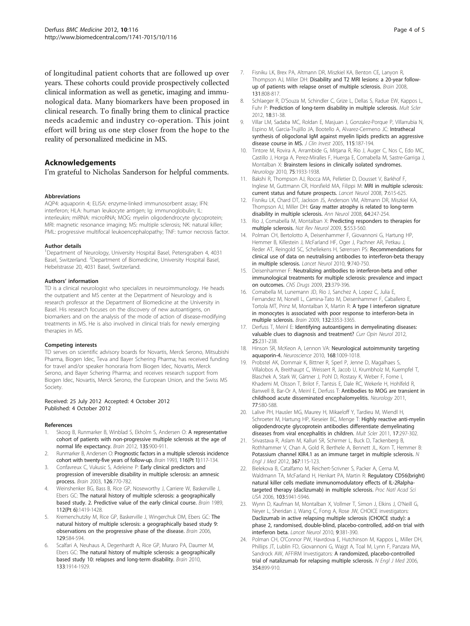<span id="page-3-0"></span>of longitudinal patient cohorts that are followed up over years. These cohorts could provide prospectively collected clinical information as well as genetic, imaging and immunological data. Many biomarkers have been proposed in clinical research. To finally bring them to clinical practice needs academic and industry co-operation. This joint effort will bring us one step closer from the hope to the reality of personalized medicine in MS.

## Acknowledgements

I'm grateful to Nicholas Sanderson for helpful comments.

#### Abbreviations

AQP4: aquaporin 4; ELISA: enzyme-linked immunosorbent assay; IFN: interferon; HLA: human leukocyte antigen; Ig: immunoglobulin; IL: interleukin; miRNA: microRNA; MOG: myelin oligodendrocyte glycoprotein; MRI: magnetic resonance imaging; MS: multiple sclerosis; NK: natural killer; PML: progressive multifocal leukoencephalopathy; TNF: tumor necrosis factor.

#### Author details

<sup>1</sup>Department of Neurology, University Hospital Basel, Petersgraben 4, 4031 Basel, Switzerland. <sup>2</sup>Department of Biomedicine, University Hospital Basel, Hebelstrasse 20, 4031 Basel, Switzerland.

#### Authors' information

TD is a clinical neurologist who specializes in neuroimmunology. He heads the outpatient and MS center at the Department of Neurology and is research professor at the Department of Biomedicine at the University in Basel. His research focuses on the discovery of new autoantigens, on biomarkers and on the analysis of the mode of action of disease-modifying treatments in MS. He is also involved in clinical trials for newly emerging therapies in MS.

#### Competing interests

TD serves on scientific advisory boards for Novartis, Merck Serono, Mitsubishi Pharma, Biogen Idec, Teva and Bayer Schering Pharma; has received funding for travel and/or speaker honoraria from Biogen Idec, Novartis, Merck Serono, and Bayer Schering Pharma; and receives research support from Biogen Idec, Novartis, Merck Serono, the European Union, and the Swiss MS Society.

#### Received: 25 July 2012 Accepted: 4 October 2012 Published: 4 October 2012

#### References

- Skoog B, Runmarker B, Winblad S, Ekholm S, Andersen O: [A representative](http://www.ncbi.nlm.nih.gov/pubmed/22366800?dopt=Abstract) [cohort of patients with non-progressive multiple sclerosis at the age of](http://www.ncbi.nlm.nih.gov/pubmed/22366800?dopt=Abstract) [normal life expectancy.](http://www.ncbi.nlm.nih.gov/pubmed/22366800?dopt=Abstract) Brain 2012, 135:900-911.
- 2. Runmarker B, Andersen O: [Prognostic factors in a multiple sclerosis incidence](http://www.ncbi.nlm.nih.gov/pubmed/8453453?dopt=Abstract) [cohort with twenty-five years of follow-up.](http://www.ncbi.nlm.nih.gov/pubmed/8453453?dopt=Abstract) Brain 1993, 116(Pt 1):117-134.
- 3. Confavreux C, Vukusic S, Adeleine P: [Early clinical predictors and](http://www.ncbi.nlm.nih.gov/pubmed/12615637?dopt=Abstract) [progression of irreversible disability in multiple sclerosis: an amnesic](http://www.ncbi.nlm.nih.gov/pubmed/12615637?dopt=Abstract) [process.](http://www.ncbi.nlm.nih.gov/pubmed/12615637?dopt=Abstract) Brain 2003, 126:770-782.
- 4. Weinshenker BG, Bass B, Rice GP, Noseworthy J, Carriere W, Baskerville J, Ebers GC: [The natural history of multiple sclerosis: a geographically](http://www.ncbi.nlm.nih.gov/pubmed/2597989?dopt=Abstract) [based study. 2. Predictive value of the early clinical course.](http://www.ncbi.nlm.nih.gov/pubmed/2597989?dopt=Abstract) Brain 1989, 112(Pt 6):1419-1428.
- Kremenchutzky M, Rice GP, Baskerville J, Wingerchuk DM, Ebers GC: [The](http://www.ncbi.nlm.nih.gov/pubmed/16401620?dopt=Abstract) [natural history of multiple sclerosis: a geographically based study 9:](http://www.ncbi.nlm.nih.gov/pubmed/16401620?dopt=Abstract) [observations on the progressive phase of the disease.](http://www.ncbi.nlm.nih.gov/pubmed/16401620?dopt=Abstract) Brain 2006, 129:584-594.
- 6. Scalfari A, Neuhaus A, Degenhardt A, Rice GP, Muraro PA, Daumer M, Ebers GC: [The natural history of multiple sclerosis: a geographically](http://www.ncbi.nlm.nih.gov/pubmed/20534650?dopt=Abstract) [based study 10: relapses and long-term disability.](http://www.ncbi.nlm.nih.gov/pubmed/20534650?dopt=Abstract) Brain 2010, 133:1914-1929.
- 7. Fisniku LK, Brex PA, Altmann DR, Miszkiel KA, Benton CE, Lanyon R, Thompson AJ, Miller DH: [Disability and T2 MRI lesions: a 20-year follow](http://www.ncbi.nlm.nih.gov/pubmed/18234696?dopt=Abstract)[up of patients with relapse onset of multiple sclerosis.](http://www.ncbi.nlm.nih.gov/pubmed/18234696?dopt=Abstract) Brain 2008, 131:808-817.
- 8. Schlaeger R, D'Souza M, Schindler C, Grize L, Dellas S, Radue EW, Kappos L, Fuhr P: [Prediction of long-term disability in multiple sclerosis.](http://www.ncbi.nlm.nih.gov/pubmed/21868486?dopt=Abstract) Mult Scler 2012, 18:31-38.
- 9. Villar LM, Sadaba MC, Roldan E, Masjuan J, Gonzalez-Porque P, Villarrubia N, Espino M, Garcia-Trujillo JA, Bootello A, Alvarez-Cermeno JC: [Intrathecal](http://www.ncbi.nlm.nih.gov/pubmed/15630459?dopt=Abstract) [synthesis of oligoclonal IgM against myelin lipids predicts an aggressive](http://www.ncbi.nlm.nih.gov/pubmed/15630459?dopt=Abstract) [disease course in MS.](http://www.ncbi.nlm.nih.gov/pubmed/15630459?dopt=Abstract) J Clin Invest 2005, 115:187-194.
- 10. Tintore M, Rovira A, Arrambide G, Mitjana R, Rio J, Auger C, Nos C, Edo MC, Castillo J, Horga A, Perez-Miralles F, Huerga E, Comabella M, Sastre-Garriga J, Montalban X: [Brainstem lesions in clinically isolated syndromes.](http://www.ncbi.nlm.nih.gov/pubmed/21098409?dopt=Abstract) Neurology 2010, 75:1933-1938.
- 11. Bakshi R, Thompson AJ, Rocca MA, Pelletier D, Dousset V, Barkhof F, Inglese M, Guttmann CR, Horsfield MA, Filippi M: [MRI in multiple sclerosis:](http://www.ncbi.nlm.nih.gov/pubmed/18565455?dopt=Abstract) [current status and future prospects.](http://www.ncbi.nlm.nih.gov/pubmed/18565455?dopt=Abstract) Lancet Neurol 2008, 7:615-625.
- 12. Fisniku LK, Chard DT, Jackson JS, Anderson VM, Altmann DR, Miszkiel KA, Thompson AJ, Miller DH: [Gray matter atrophy is related to long-term](http://www.ncbi.nlm.nih.gov/pubmed/18570297?dopt=Abstract) [disability in multiple sclerosis.](http://www.ncbi.nlm.nih.gov/pubmed/18570297?dopt=Abstract) Ann Neurol 2008, 64:247-254.
- 13. Rio J, Comabella M, Montalban X: [Predicting responders to therapies for](http://www.ncbi.nlm.nih.gov/pubmed/19794514?dopt=Abstract) [multiple sclerosis.](http://www.ncbi.nlm.nih.gov/pubmed/19794514?dopt=Abstract) Nat Rev Neurol 2009, 5:553-560.
- 14. Polman CH, Bertolotto A, Deisenhammer F, Giovannoni G, Hartung HP, Hemmer B, Killestein J, McFarland HF, Oger J, Pachner AR, Petkau J, Reder AT, Reingold SC, Schellekens H, Sørensen PS: [Recommendations for](http://www.ncbi.nlm.nih.gov/pubmed/20610349?dopt=Abstract) [clinical use of data on neutralising antibodies to interferon-beta therapy](http://www.ncbi.nlm.nih.gov/pubmed/20610349?dopt=Abstract) [in multiple sclerosis.](http://www.ncbi.nlm.nih.gov/pubmed/20610349?dopt=Abstract) Lancet Neurol 2010, 9:740-750.
- 15. Deisenhammer F: [Neutralizing antibodies to interferon-beta and other](http://www.ncbi.nlm.nih.gov/pubmed/19453200?dopt=Abstract) [immunological treatments for multiple sclerosis: prevalence and impact](http://www.ncbi.nlm.nih.gov/pubmed/19453200?dopt=Abstract) [on outcomes.](http://www.ncbi.nlm.nih.gov/pubmed/19453200?dopt=Abstract) CNS Drugs 2009, 23:379-396.
- 16. Comabella M, Lunemann JD, Rio J, Sanchez A, Lopez C, Julia E, Fernandez M, Nonell L, Camina-Tato M, Deisenhammer F, Caballero E, Tortola MT, Prinz M, Montalban X, Martin R: [A type I interferon signature](http://www.ncbi.nlm.nih.gov/pubmed/19741051?dopt=Abstract) [in monocytes is associated with poor response to interferon-beta in](http://www.ncbi.nlm.nih.gov/pubmed/19741051?dopt=Abstract) [multiple sclerosis.](http://www.ncbi.nlm.nih.gov/pubmed/19741051?dopt=Abstract) Brain 2009, 132:3353-3365.
- 17. Derfuss T, Meinl E: [Identifying autoantigens in demyelinating diseases:](http://www.ncbi.nlm.nih.gov/pubmed/22487571?dopt=Abstract) [valuable clues to diagnosis and treatment?](http://www.ncbi.nlm.nih.gov/pubmed/22487571?dopt=Abstract) Curr Opin Neurol 2012, 25:231-238.
- 18. Hinson SR, McKeon A, Lennon VA: [Neurological autoimmunity targeting](http://www.ncbi.nlm.nih.gov/pubmed/19699271?dopt=Abstract) [aquaporin-4.](http://www.ncbi.nlm.nih.gov/pubmed/19699271?dopt=Abstract) Neuroscience 2010, 168:1009-1018.
- 19. Probstel AK, Dornmair K, Bittner R, Sperl P, Jenne D, Magalhaes S, Villalobos A, Breithaupt C, Weissert R, Jacob U, Krumbholz M, Kuempfel T, Blaschek A, Stark W, Gärtner J, Pohl D, Rostasy K, Weber F, Forne I, Khademi M, Olsson T, Brilot F, Tantsis E, Dale RC, Wekerle H, Hohlfeld R, Banwell B, Bar-Or A, Meinl E, Derfuss T: [Antibodies to MOG are transient in](http://www.ncbi.nlm.nih.gov/pubmed/21795651?dopt=Abstract) [childhood acute disseminated encephalomyelitis.](http://www.ncbi.nlm.nih.gov/pubmed/21795651?dopt=Abstract) Neurology 2011, 77:580-588.
- 20. Lalive PH, Hausler MG, Maurey H, Mikaeloff Y, Tardieu M, Wiendl H, Schroeter M, Hartung HP, Kieseier BC, Menge T: [Highly reactive anti-myelin](http://www.ncbi.nlm.nih.gov/pubmed/21177754?dopt=Abstract) [oligodendrocyte glycoprotein antibodies differentiate demyelinating](http://www.ncbi.nlm.nih.gov/pubmed/21177754?dopt=Abstract) [diseases from viral encephalitis in children.](http://www.ncbi.nlm.nih.gov/pubmed/21177754?dopt=Abstract) Mult Scler 2011, 17:297-302.
- 21. Srivastava R, Aslam M, Kalluri SR, Schirmer L, Buck D, Tackenberg B, Rothhammer V, Chan A, Gold R, Berthele A, Bennett JL, Korn T, Hemmer B: [Potassium channel KIR4.1 as an immune target in multiple sclerosis.](http://www.ncbi.nlm.nih.gov/pubmed/22784115?dopt=Abstract) N Engl J Med 2012, 367:115-123.
- 22. Bielekova B, Catalfamo M, Reichert-Scrivner S, Packer A, Cerna M, Waldmann TA, McFarland H, Henkart PA, Martin R: [Regulatory CD56\(bright\)](http://www.ncbi.nlm.nih.gov/pubmed/16585503?dopt=Abstract) [natural killer cells mediate immunomodulatory effects of IL-2Ralpha](http://www.ncbi.nlm.nih.gov/pubmed/16585503?dopt=Abstract)[targeted therapy \(daclizumab\) in multiple sclerosis.](http://www.ncbi.nlm.nih.gov/pubmed/16585503?dopt=Abstract) Proc Natl Acad Sci USA 2006, 103:5941-5946.
- 23. Wynn D, Kaufman M, Montalban X, Vollmer T, Simon J, Elkins J, O'Neill G, Neyer L, Sheridan J, Wang C, Fong A, Rose JW, CHOICE investigators: [Daclizumab in active relapsing multiple sclerosis \(CHOICE study\): a](http://www.ncbi.nlm.nih.gov/pubmed/20163990?dopt=Abstract) [phase 2, randomised, double-blind, placebo-controlled, add-on trial with](http://www.ncbi.nlm.nih.gov/pubmed/20163990?dopt=Abstract) [interferon beta.](http://www.ncbi.nlm.nih.gov/pubmed/20163990?dopt=Abstract) Lancet Neurol 2010, 9:381-390.
- 24. Polman CH, O'Connor PW, Havrdova E, Hutchinson M, Kappos L, Miller DH, Phillips JT, Lublin FD, Giovannoni G, Wajgt A, Toal M, Lynn F, Panzara MA, Sandrock AW, AFFIRM Investigators: [A randomized, placebo-controlled](http://www.ncbi.nlm.nih.gov/pubmed/16510744?dopt=Abstract) [trial of natalizumab for relapsing multiple sclerosis.](http://www.ncbi.nlm.nih.gov/pubmed/16510744?dopt=Abstract) N Engl J Med 2006, 354:899-910.